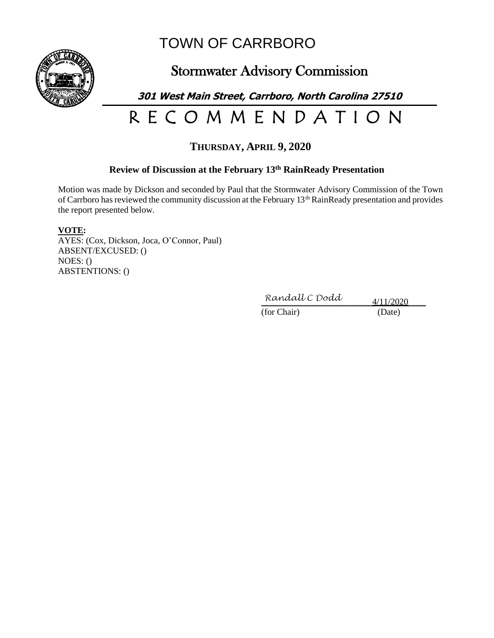

## TOWN OF CARRBORO

## Stormwater Advisory Commission

**301 West Main Street, Carrboro, North Carolina 27510**

# R E C O M M E N D A T I O N

### **THURSDAY, APRIL 9, 2020**

#### **Review of Discussion at the February 13 th RainReady Presentation**

Motion was made by Dickson and seconded by Paul that the Stormwater Advisory Commission of the Town of Carrboro has reviewed the community discussion at the February 13th RainReady presentation and provides the report presented below.

#### **VOTE:**

AYES: (Cox, Dickson, Joca, O'Connor, Paul) ABSENT/EXCUSED: () NOES: () ABSTENTIONS: ()

 $Randall C Dodd$  4/11/2020

(for Chair) (Date)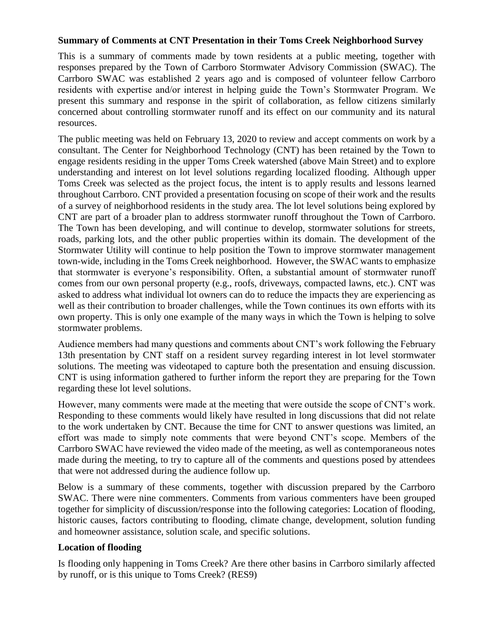#### **Summary of Comments at CNT Presentation in their Toms Creek Neighborhood Survey**

This is a summary of comments made by town residents at a public meeting, together with responses prepared by the Town of Carrboro Stormwater Advisory Commission (SWAC). The Carrboro SWAC was established 2 years ago and is composed of volunteer fellow Carrboro residents with expertise and/or interest in helping guide the Town's Stormwater Program. We present this summary and response in the spirit of collaboration, as fellow citizens similarly concerned about controlling stormwater runoff and its effect on our community and its natural resources.

The public meeting was held on February 13, 2020 to review and accept comments on work by a consultant. The Center for Neighborhood Technology (CNT) has been retained by the Town to engage residents residing in the upper Toms Creek watershed (above Main Street) and to explore understanding and interest on lot level solutions regarding localized flooding. Although upper Toms Creek was selected as the project focus, the intent is to apply results and lessons learned throughout Carrboro. CNT provided a presentation focusing on scope of their work and the results of a survey of neighborhood residents in the study area. The lot level solutions being explored by CNT are part of a broader plan to address stormwater runoff throughout the Town of Carrboro. The Town has been developing, and will continue to develop, stormwater solutions for streets, roads, parking lots, and the other public properties within its domain. The development of the Stormwater Utility will continue to help position the Town to improve stormwater management town-wide, including in the Toms Creek neighborhood. However, the SWAC wants to emphasize that stormwater is everyone's responsibility. Often, a substantial amount of stormwater runoff comes from our own personal property (e.g., roofs, driveways, compacted lawns, etc.). CNT was asked to address what individual lot owners can do to reduce the impacts they are experiencing as well as their contribution to broader challenges, while the Town continues its own efforts with its own property. This is only one example of the many ways in which the Town is helping to solve stormwater problems.

Audience members had many questions and comments about CNT's work following the February 13th presentation by CNT staff on a resident survey regarding interest in lot level stormwater solutions. The meeting was videotaped to capture both the presentation and ensuing discussion. CNT is using information gathered to further inform the report they are preparing for the Town regarding these lot level solutions.

However, many comments were made at the meeting that were outside the scope of CNT's work. Responding to these comments would likely have resulted in long discussions that did not relate to the work undertaken by CNT. Because the time for CNT to answer questions was limited, an effort was made to simply note comments that were beyond CNT's scope. Members of the Carrboro SWAC have reviewed the video made of the meeting, as well as contemporaneous notes made during the meeting, to try to capture all of the comments and questions posed by attendees that were not addressed during the audience follow up.

Below is a summary of these comments, together with discussion prepared by the Carrboro SWAC. There were nine commenters. Comments from various commenters have been grouped together for simplicity of discussion/response into the following categories: Location of flooding, historic causes, factors contributing to flooding, climate change, development, solution funding and homeowner assistance, solution scale, and specific solutions.

#### **Location of flooding**

Is flooding only happening in Toms Creek? Are there other basins in Carrboro similarly affected by runoff, or is this unique to Toms Creek? (RES9)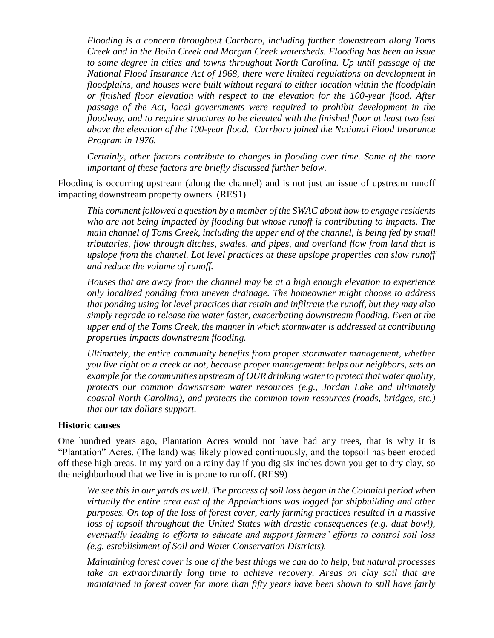*Flooding is a concern throughout Carrboro, including further downstream along Toms Creek and in the Bolin Creek and Morgan Creek watersheds. Flooding has been an issue to some degree in cities and towns throughout North Carolina. Up until passage of the National Flood Insurance Act of 1968, there were limited regulations on development in floodplains, and houses were built without regard to either location within the floodplain or finished floor elevation with respect to the elevation for the 100-year flood. After passage of the Act, local governments were required to prohibit development in the floodway, and to require structures to be elevated with the finished floor at least two feet above the elevation of the 100-year flood. Carrboro joined the National Flood Insurance Program in 1976.*

*Certainly, other factors contribute to changes in flooding over time. Some of the more important of these factors are briefly discussed further below.*

Flooding is occurring upstream (along the channel) and is not just an issue of upstream runoff impacting downstream property owners. (RES1)

*This comment followed a question by a member of the SWAC about how to engage residents who are not being impacted by flooding but whose runoff is contributing to impacts. The main channel of Toms Creek, including the upper end of the channel, is being fed by small tributaries, flow through ditches, swales, and pipes, and overland flow from land that is upslope from the channel. Lot level practices at these upslope properties can slow runoff and reduce the volume of runoff.*

*Houses that are away from the channel may be at a high enough elevation to experience only localized ponding from uneven drainage. The homeowner might choose to address that ponding using lot level practices that retain and infiltrate the runoff, but they may also simply regrade to release the water faster, exacerbating downstream flooding. Even at the upper end of the Toms Creek, the manner in which stormwater is addressed at contributing properties impacts downstream flooding.*

*Ultimately, the entire community benefits from proper stormwater management, whether you live right on a creek or not, because proper management: helps our neighbors, sets an example for the communities upstream of OUR drinking water to protect that water quality, protects our common downstream water resources (e.g., Jordan Lake and ultimately coastal North Carolina), and protects the common town resources (roads, bridges, etc.) that our tax dollars support.*

#### **Historic causes**

One hundred years ago, Plantation Acres would not have had any trees, that is why it is "Plantation" Acres. (The land) was likely plowed continuously, and the topsoil has been eroded off these high areas. In my yard on a rainy day if you dig six inches down you get to dry clay, so the neighborhood that we live in is prone to runoff. (RES9)

*We see this in our yards as well. The process of soil loss began in the Colonial period when virtually the entire area east of the Appalachians was logged for shipbuilding and other purposes. On top of the loss of forest cover, early farming practices resulted in a massive loss of topsoil throughout the United States with drastic consequences (e.g. dust bowl), eventually leading to efforts to educate and support farmers' efforts to control soil loss (e.g. establishment of Soil and Water Conservation Districts).*

*Maintaining forest cover is one of the best things we can do to help, but natural processes take an extraordinarily long time to achieve recovery. Areas on clay soil that are maintained in forest cover for more than fifty years have been shown to still have fairly*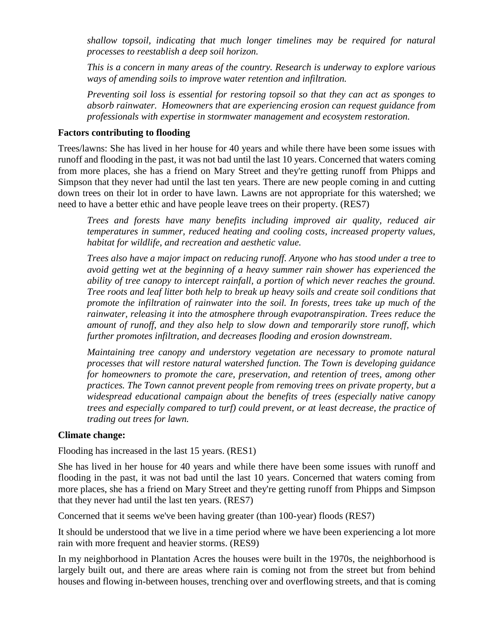*shallow topsoil, indicating that much longer timelines may be required for natural processes to reestablish a deep soil horizon.*

*This is a concern in many areas of the country. Research is underway to explore various ways of amending soils to improve water retention and infiltration.*

*Preventing soil loss is essential for restoring topsoil so that they can act as sponges to absorb rainwater. Homeowners that are experiencing erosion can request guidance from professionals with expertise in stormwater management and ecosystem restoration.*

#### **Factors contributing to flooding**

Trees/lawns: She has lived in her house for 40 years and while there have been some issues with runoff and flooding in the past, it was not bad until the last 10 years. Concerned that waters coming from more places, she has a friend on Mary Street and they're getting runoff from Phipps and Simpson that they never had until the last ten years. There are new people coming in and cutting down trees on their lot in order to have lawn. Lawns are not appropriate for this watershed; we need to have a better ethic and have people leave trees on their property. (RES7)

*Trees and forests have many benefits including improved air quality, reduced air temperatures in summer, reduced heating and cooling costs, increased property values, habitat for wildlife, and recreation and aesthetic value.* 

*Trees also have a major impact on reducing runoff. Anyone who has stood under a tree to avoid getting wet at the beginning of a heavy summer rain shower has experienced the ability of tree canopy to intercept rainfall, a portion of which never reaches the ground. Tree roots and leaf litter both help to break up heavy soils and create soil conditions that promote the infiltration of rainwater into the soil. In forests, trees take up much of the rainwater, releasing it into the atmosphere through evapotranspiration. Trees reduce the amount of runoff, and they also help to slow down and temporarily store runoff, which further promotes infiltration, and decreases flooding and erosion downstream*.

*Maintaining tree canopy and understory vegetation are necessary to promote natural processes that will restore natural watershed function. The Town is developing guidance for homeowners to promote the care, preservation, and retention of trees, among other practices. The Town cannot prevent people from removing trees on private property, but a widespread educational campaign about the benefits of trees (especially native canopy trees and especially compared to turf) could prevent, or at least decrease, the practice of trading out trees for lawn.*

#### **Climate change:**

Flooding has increased in the last 15 years. (RES1)

She has lived in her house for 40 years and while there have been some issues with runoff and flooding in the past, it was not bad until the last 10 years. Concerned that waters coming from more places, she has a friend on Mary Street and they're getting runoff from Phipps and Simpson that they never had until the last ten years. (RES7)

Concerned that it seems we've been having greater (than 100-year) floods (RES7)

It should be understood that we live in a time period where we have been experiencing a lot more rain with more frequent and heavier storms. (RES9)

In my neighborhood in Plantation Acres the houses were built in the 1970s, the neighborhood is largely built out, and there are areas where rain is coming not from the street but from behind houses and flowing in-between houses, trenching over and overflowing streets, and that is coming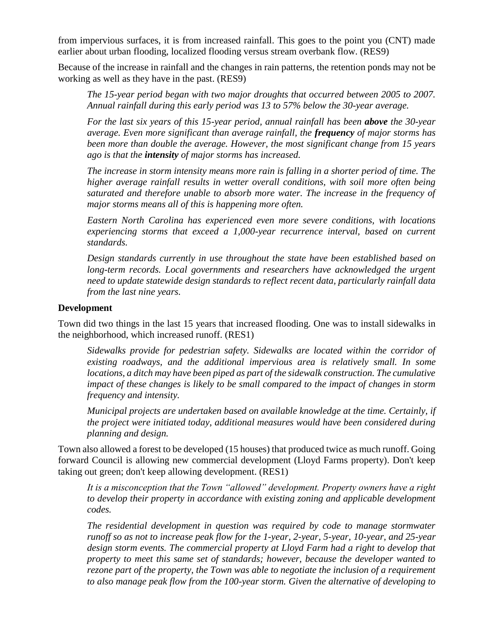from impervious surfaces, it is from increased rainfall. This goes to the point you (CNT) made earlier about urban flooding, localized flooding versus stream overbank flow. (RES9)

Because of the increase in rainfall and the changes in rain patterns, the retention ponds may not be working as well as they have in the past. (RES9)

*The 15-year period began with two major droughts that occurred between 2005 to 2007. Annual rainfall during this early period was 13 to 57% below the 30-year average.*

*For the last six years of this 15-year period, annual rainfall has been above the 30-year average. Even more significant than average rainfall, the frequency of major storms has been more than double the average. However, the most significant change from 15 years ago is that the intensity of major storms has increased.*

*The increase in storm intensity means more rain is falling in a shorter period of time. The higher average rainfall results in wetter overall conditions, with soil more often being saturated and therefore unable to absorb more water. The increase in the frequency of major storms means all of this is happening more often.*

*Eastern North Carolina has experienced even more severe conditions, with locations experiencing storms that exceed a 1,000-year recurrence interval, based on current standards.*

*Design standards currently in use throughout the state have been established based on long-term records. Local governments and researchers have acknowledged the urgent need to update statewide design standards to reflect recent data, particularly rainfall data from the last nine years.*

#### **Development**

Town did two things in the last 15 years that increased flooding. One was to install sidewalks in the neighborhood, which increased runoff. (RES1)

*Sidewalks provide for pedestrian safety. Sidewalks are located within the corridor of existing roadways, and the additional impervious area is relatively small. In some*  locations, a ditch may have been piped as part of the sidewalk construction. The cumulative *impact of these changes is likely to be small compared to the impact of changes in storm frequency and intensity.*

*Municipal projects are undertaken based on available knowledge at the time. Certainly, if the project were initiated today, additional measures would have been considered during planning and design.*

Town also allowed a forest to be developed (15 houses) that produced twice as much runoff. Going forward Council is allowing new commercial development (Lloyd Farms property). Don't keep taking out green; don't keep allowing development. (RES1)

*It is a misconception that the Town "allowed" development. Property owners have a right to develop their property in accordance with existing zoning and applicable development codes.*

*The residential development in question was required by code to manage stormwater runoff so as not to increase peak flow for the 1-year, 2-year, 5-year, 10-year, and 25-year design storm events. The commercial property at Lloyd Farm had a right to develop that property to meet this same set of standards; however, because the developer wanted to rezone part of the property, the Town was able to negotiate the inclusion of a requirement to also manage peak flow from the 100-year storm. Given the alternative of developing to*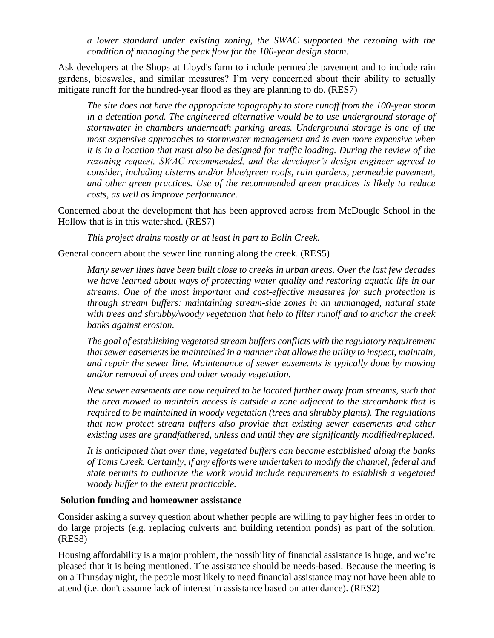*a lower standard under existing zoning, the SWAC supported the rezoning with the condition of managing the peak flow for the 100-year design storm.* 

Ask developers at the Shops at Lloyd's farm to include permeable pavement and to include rain gardens, bioswales, and similar measures? I'm very concerned about their ability to actually mitigate runoff for the hundred-year flood as they are planning to do. (RES7)

*The site does not have the appropriate topography to store runoff from the 100-year storm in a detention pond. The engineered alternative would be to use underground storage of stormwater in chambers underneath parking areas. Underground storage is one of the most expensive approaches to stormwater management and is even more expensive when it is in a location that must also be designed for traffic loading. During the review of the rezoning request, SWAC recommended, and the developer's design engineer agreed to consider, including cisterns and/or blue/green roofs, rain gardens, permeable pavement, and other green practices. Use of the recommended green practices is likely to reduce costs, as well as improve performance.*

Concerned about the development that has been approved across from McDougle School in the Hollow that is in this watershed. (RES7)

*This project drains mostly or at least in part to Bolin Creek.*

General concern about the sewer line running along the creek. (RES5)

*Many sewer lines have been built close to creeks in urban areas. Over the last few decades we have learned about ways of protecting water quality and restoring aquatic life in our streams. One of the most important and cost-effective measures for such protection is through stream buffers: maintaining stream-side zones in an unmanaged, natural state with trees and shrubby/woody vegetation that help to filter runoff and to anchor the creek banks against erosion.*

*The goal of establishing vegetated stream buffers conflicts with the regulatory requirement that sewer easements be maintained in a manner that allows the utility to inspect, maintain, and repair the sewer line. Maintenance of sewer easements is typically done by mowing and/or removal of trees and other woody vegetation.*

*New sewer easements are now required to be located further away from streams, such that the area mowed to maintain access is outside a zone adjacent to the streambank that is required to be maintained in woody vegetation (trees and shrubby plants). The regulations that now protect stream buffers also provide that existing sewer easements and other existing uses are grandfathered, unless and until they are significantly modified/replaced.* 

*It is anticipated that over time, vegetated buffers can become established along the banks of Toms Creek. Certainly, if any efforts were undertaken to modify the channel, federal and state permits to authorize the work would include requirements to establish a vegetated woody buffer to the extent practicable.* 

#### **Solution funding and homeowner assistance**

Consider asking a survey question about whether people are willing to pay higher fees in order to do large projects (e.g. replacing culverts and building retention ponds) as part of the solution. (RES8)

Housing affordability is a major problem, the possibility of financial assistance is huge, and we're pleased that it is being mentioned. The assistance should be needs-based. Because the meeting is on a Thursday night, the people most likely to need financial assistance may not have been able to attend (i.e. don't assume lack of interest in assistance based on attendance). (RES2)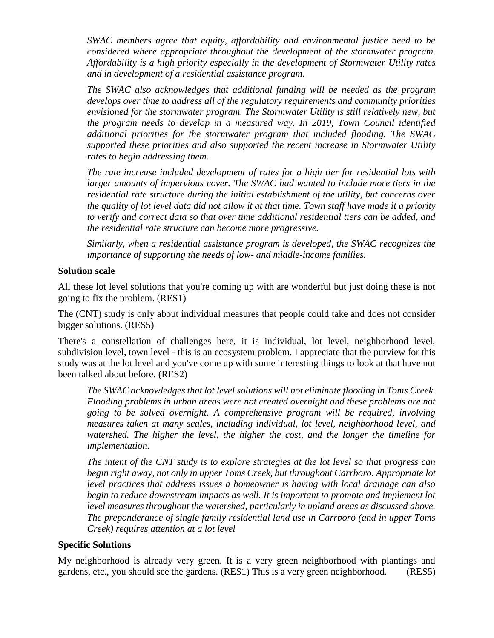*SWAC members agree that equity, affordability and environmental justice need to be considered where appropriate throughout the development of the stormwater program. Affordability is a high priority especially in the development of Stormwater Utility rates and in development of a residential assistance program.* 

*The SWAC also acknowledges that additional funding will be needed as the program develops over time to address all of the regulatory requirements and community priorities envisioned for the stormwater program. The Stormwater Utility is still relatively new, but the program needs to develop in a measured way. In 2019, Town Council identified additional priorities for the stormwater program that included flooding. The SWAC supported these priorities and also supported the recent increase in Stormwater Utility rates to begin addressing them.*

*The rate increase included development of rates for a high tier for residential lots with*  larger amounts of impervious cover. The SWAC had wanted to include more tiers in the *residential rate structure during the initial establishment of the utility, but concerns over the quality of lot level data did not allow it at that time. Town staff have made it a priority to verify and correct data so that over time additional residential tiers can be added, and the residential rate structure can become more progressive.*

*Similarly, when a residential assistance program is developed, the SWAC recognizes the importance of supporting the needs of low- and middle-income families.*

#### **Solution scale**

All these lot level solutions that you're coming up with are wonderful but just doing these is not going to fix the problem. (RES1)

The (CNT) study is only about individual measures that people could take and does not consider bigger solutions. (RES5)

There's a constellation of challenges here, it is individual, lot level, neighborhood level, subdivision level, town level - this is an ecosystem problem. I appreciate that the purview for this study was at the lot level and you've come up with some interesting things to look at that have not been talked about before. (RES2)

*The SWAC acknowledges that lot level solutions will not eliminate flooding in Toms Creek. Flooding problems in urban areas were not created overnight and these problems are not going to be solved overnight. A comprehensive program will be required, involving measures taken at many scales, including individual, lot level, neighborhood level, and watershed. The higher the level, the higher the cost, and the longer the timeline for implementation.*

*The intent of the CNT study is to explore strategies at the lot level so that progress can begin right away, not only in upper Toms Creek, but throughout Carrboro. Appropriate lot level practices that address issues a homeowner is having with local drainage can also begin to reduce downstream impacts as well. It is important to promote and implement lot level measures throughout the watershed, particularly in upland areas as discussed above. The preponderance of single family residential land use in Carrboro (and in upper Toms Creek) requires attention at a lot level*

#### **Specific Solutions**

My neighborhood is already very green. It is a very green neighborhood with plantings and gardens, etc., you should see the gardens. (RES1) This is a very green neighborhood. (RES5)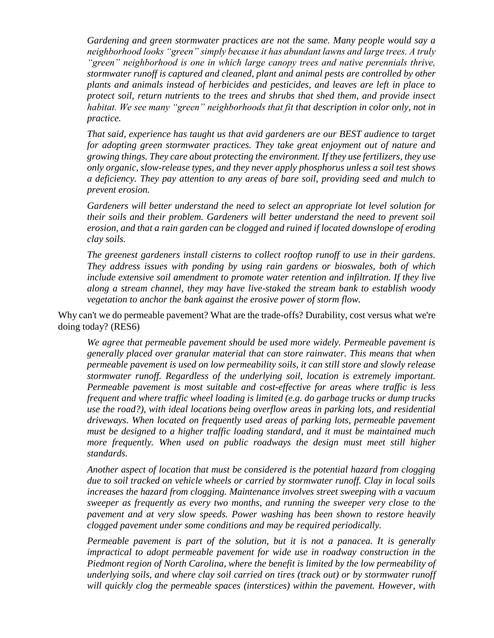*Gardening and green stormwater practices are not the same. Many people would say a neighborhood looks "green" simply because it has abundant lawns and large trees. A truly "green" neighborhood is one in which large canopy trees and native perennials thrive, stormwater runoff is captured and cleaned, plant and animal pests are controlled by other plants and animals instead of herbicides and pesticides, and leaves are left in place to protect soil, return nutrients to the trees and shrubs that shed them, and provide insect habitat. We see many "green" neighborhoods that fit that description in color only, not in practice.*

*That said, experience has taught us that avid gardeners are our BEST audience to target for adopting green stormwater practices. They take great enjoyment out of nature and growing things. They care about protecting the environment. If they use fertilizers, they use only organic, slow-release types, and they never apply phosphorus unless a soil test shows a deficiency. They pay attention to any areas of bare soil, providing seed and mulch to prevent erosion.*

*Gardeners will better understand the need to select an appropriate lot level solution for their soils and their problem. Gardeners will better understand the need to prevent soil erosion, and that a rain garden can be clogged and ruined if located downslope of eroding clay soils.*

*The greenest gardeners install cisterns to collect rooftop runoff to use in their gardens. They address issues with ponding by using rain gardens or bioswales, both of which include extensive soil amendment to promote water retention and infiltration. If they live along a stream channel, they may have live-staked the stream bank to establish woody vegetation to anchor the bank against the erosive power of storm flow.* 

Why can't we do permeable pavement? What are the trade-offs? Durability, cost versus what we're doing today? (RES6)

*We agree that permeable pavement should be used more widely. Permeable pavement is generally placed over granular material that can store rainwater. This means that when permeable pavement is used on low permeability soils, it can still store and slowly release stormwater runoff. Regardless of the underlying soil, location is extremely important. Permeable pavement is most suitable and cost-effective for areas where traffic is less frequent and where traffic wheel loading is limited (e.g. do garbage trucks or dump trucks use the road?), with ideal locations being overflow areas in parking lots, and residential driveways. When located on frequently used areas of parking lots, permeable pavement must be designed to a higher traffic loading standard, and it must be maintained much more frequently. When used on public roadways the design must meet still higher standards.* 

*Another aspect of location that must be considered is the potential hazard from clogging due to soil tracked on vehicle wheels or carried by stormwater runoff. Clay in local soils increases the hazard from clogging. Maintenance involves street sweeping with a vacuum sweeper as frequently as every two months, and running the sweeper very close to the pavement and at very slow speeds. Power washing has been shown to restore heavily clogged pavement under some conditions and may be required periodically.* 

*Permeable pavement is part of the solution, but it is not a panacea. It is generally impractical to adopt permeable pavement for wide use in roadway construction in the Piedmont region of North Carolina, where the benefit is limited by the low permeability of underlying soils, and where clay soil carried on tires (track out) or by stormwater runoff will quickly clog the permeable spaces (interstices) within the pavement. However, with*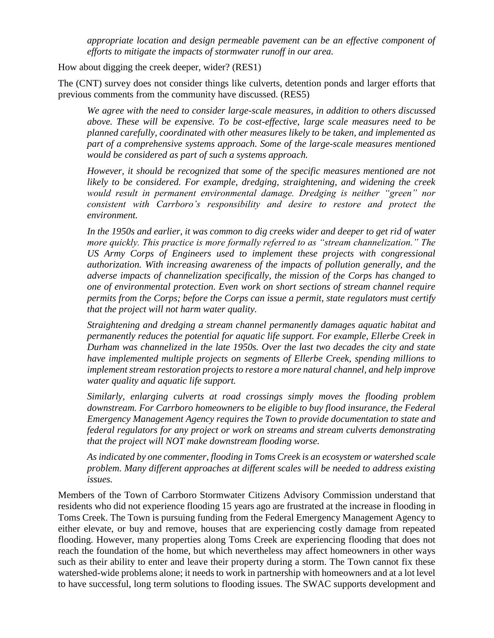*appropriate location and design permeable pavement can be an effective component of efforts to mitigate the impacts of stormwater runoff in our area.*

How about digging the creek deeper, wider? (RES1)

The (CNT) survey does not consider things like culverts, detention ponds and larger efforts that previous comments from the community have discussed. (RES5)

*We agree with the need to consider large-scale measures, in addition to others discussed above. These will be expensive. To be cost-effective, large scale measures need to be planned carefully, coordinated with other measures likely to be taken, and implemented as part of a comprehensive systems approach. Some of the large-scale measures mentioned would be considered as part of such a systems approach.*

*However, it should be recognized that some of the specific measures mentioned are not likely to be considered. For example, dredging, straightening, and widening the creek would result in permanent environmental damage. Dredging is neither "green" nor consistent with Carrboro's responsibility and desire to restore and protect the environment.* 

*In the 1950s and earlier, it was common to dig creeks wider and deeper to get rid of water more quickly. This practice is more formally referred to as "stream channelization." The US Army Corps of Engineers used to implement these projects with congressional authorization. With increasing awareness of the impacts of pollution generally, and the adverse impacts of channelization specifically, the mission of the Corps has changed to one of environmental protection. Even work on short sections of stream channel require permits from the Corps; before the Corps can issue a permit, state regulators must certify that the project will not harm water quality.*

*Straightening and dredging a stream channel permanently damages aquatic habitat and permanently reduces the potential for aquatic life support. For example, Ellerbe Creek in Durham was channelized in the late 1950s. Over the last two decades the city and state have implemented multiple projects on segments of Ellerbe Creek, spending millions to implement stream restoration projects to restore a more natural channel, and help improve water quality and aquatic life support.*

*Similarly, enlarging culverts at road crossings simply moves the flooding problem downstream. For Carrboro homeowners to be eligible to buy flood insurance, the Federal Emergency Management Agency requires the Town to provide documentation to state and federal regulators for any project or work on streams and stream culverts demonstrating that the project will NOT make downstream flooding worse.*

*As indicated by one commenter, flooding in Toms Creek is an ecosystem or watershed scale problem. Many different approaches at different scales will be needed to address existing issues.* 

Members of the Town of Carrboro Stormwater Citizens Advisory Commission understand that residents who did not experience flooding 15 years ago are frustrated at the increase in flooding in Toms Creek. The Town is pursuing funding from the Federal Emergency Management Agency to either elevate, or buy and remove, houses that are experiencing costly damage from repeated flooding. However, many properties along Toms Creek are experiencing flooding that does not reach the foundation of the home, but which nevertheless may affect homeowners in other ways such as their ability to enter and leave their property during a storm. The Town cannot fix these watershed-wide problems alone; it needs to work in partnership with homeowners and at a lot level to have successful, long term solutions to flooding issues. The SWAC supports development and